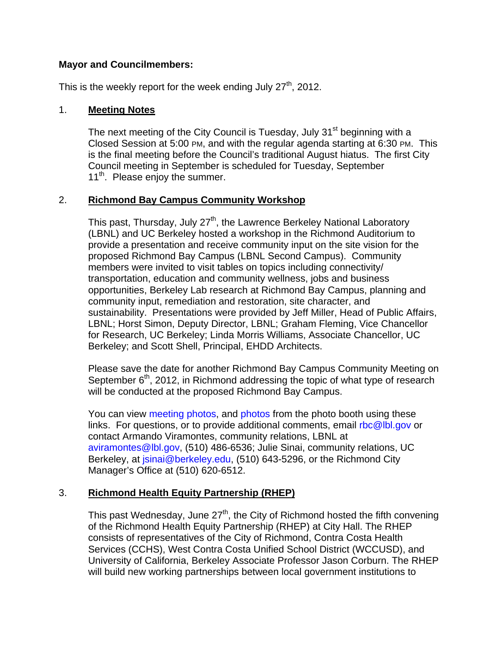# **Mayor and Councilmembers:**

This is the weekly report for the week ending July  $27<sup>th</sup>$ , 2012.

# 1. **Meeting Notes**

The next meeting of the City Council is Tuesday, July 31<sup>st</sup> beginning with a Closed Session at 5:00 PM, and with the regular agenda starting at 6:30 PM. This is the final meeting before the Council's traditional August hiatus. The first City Council meeting in September is scheduled for Tuesday, September 11<sup>th</sup>. Please enjoy the summer.

# 2. **Richmond Bay Campus Community Workshop**

This past, Thursday, July 27<sup>th</sup>, the Lawrence Berkeley National Laboratory (LBNL) and UC Berkeley hosted a workshop in the Richmond Auditorium to provide a presentation and receive community input on the site vision for the proposed Richmond Bay Campus (LBNL Second Campus). Community members were invited to visit tables on topics including connectivity/ transportation, education and community wellness, jobs and business opportunities, Berkeley Lab research at Richmond Bay Campus, planning and community input, remediation and restoration, site character, and sustainability. Presentations were provided by Jeff Miller, Head of Public Affairs, LBNL; Horst Simon, Deputy Director, LBNL; Graham Fleming, Vice Chancellor for Research, UC Berkeley; Linda Morris Williams, Associate Chancellor, UC Berkeley; and Scott Shell, Principal, EHDD Architects.

Please save the date for another Richmond Bay Campus Community Meeting on September  $6<sup>th</sup>$ , 2012, in Richmond addressing the topic of what type of research will be conducted at the proposed Richmond Bay Campus.

You can view meeting photos, and photos from the photo booth using these links. For questions, or to provide additional comments, email rbc@lbl.gov or contact Armando Viramontes, community relations, LBNL at aviramontes@lbl.gov, (510) 486-6536; Julie Sinai, community relations, UC Berkeley, at *isinai@berkeley.edu,* (510) 643-5296, or the Richmond City Manager's Office at (510) 620-6512.

# 3. **Richmond Health Equity Partnership (RHEP)**

This past Wednesday, June 27<sup>th</sup>, the City of Richmond hosted the fifth convening of the Richmond Health Equity Partnership (RHEP) at City Hall. The RHEP consists of representatives of the City of Richmond, Contra Costa Health Services (CCHS), West Contra Costa Unified School District (WCCUSD), and University of California, Berkeley Associate Professor Jason Corburn. The RHEP will build new working partnerships between local government institutions to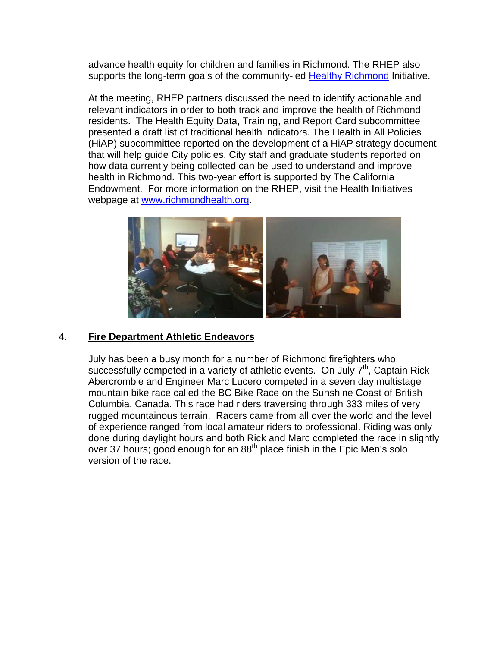advance health equity for children and families in Richmond. The RHEP also supports the long-term goals of the community-led Healthy Richmond Initiative.

At the meeting, RHEP partners discussed the need to identify actionable and relevant indicators in order to both track and improve the health of Richmond residents. The Health Equity Data, Training, and Report Card subcommittee presented a draft list of traditional health indicators. The Health in All Policies (HiAP) subcommittee reported on the development of a HiAP strategy document that will help quide City policies. City staff and graduate students reported on how data currently being collected can be used to understand and improve health in Richmond. This two-year effort is supported by The California Endowment. For more information on the RHEP, visit the Health Initiatives webpage at www.richmondhealth.org.



#### 4. **Fire Department Athletic Endeavors**

July has been a busy month for a number of Richmond firefighters who successfully competed in a variety of athletic events. On July  $7<sup>th</sup>$ , Captain Rick Abercrombie and Engineer Marc Lucero competed in a seven day multistage mountain bike race called the BC Bike Race on the Sunshine Coast of British Columbia, Canada. This race had riders traversing through 333 miles of very rugged mountainous terrain. Racers came from all over the world and the level of experience ranged from local amateur riders to professional. Riding was only done during daylight hours and both Rick and Marc completed the race in slightly over 37 hours; good enough for an 88<sup>th</sup> place finish in the Epic Men's solo version of the race.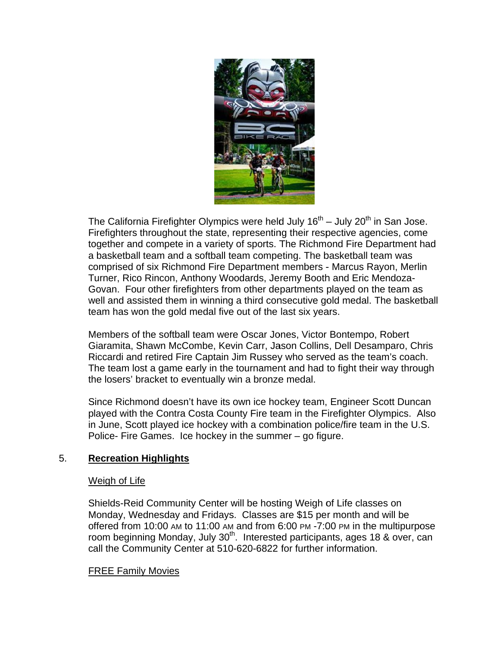

The California Firefighter Olympics were held July  $16^{th}$  – July  $20^{th}$  in San Jose. Firefighters throughout the state, representing their respective agencies, come together and compete in a variety of sports. The Richmond Fire Department had a basketball team and a softball team competing. The basketball team was comprised of six Richmond Fire Department members - Marcus Rayon, Merlin Turner, Rico Rincon, Anthony Woodards, Jeremy Booth and Eric Mendoza-Govan. Four other firefighters from other departments played on the team as well and assisted them in winning a third consecutive gold medal. The basketball team has won the gold medal five out of the last six years.

Members of the softball team were Oscar Jones, Victor Bontempo, Robert Giaramita, Shawn McCombe, Kevin Carr, Jason Collins, Dell Desamparo, Chris Riccardi and retired Fire Captain Jim Russey who served as the team's coach. The team lost a game early in the tournament and had to fight their way through the losers' bracket to eventually win a bronze medal.

Since Richmond doesn't have its own ice hockey team, Engineer Scott Duncan played with the Contra Costa County Fire team in the Firefighter Olympics. Also in June, Scott played ice hockey with a combination police/fire team in the U.S. Police- Fire Games. Ice hockey in the summer - go figure.

#### 5. **Recreation Highlights**

### Weigh of Life

Shields-Reid Community Center will be hosting Weigh of Life classes on Monday, Wednesday and Fridays. Classes are \$15 per month and will be offered from 10:00 AM to 11:00 AM and from 6:00 PM -7:00 PM in the multipurpose room beginning Monday, July 30<sup>th</sup>. Interested participants, ages 18 & over, can call the Community Center at 510-620-6822 for further information.

### **FREE Family Movies**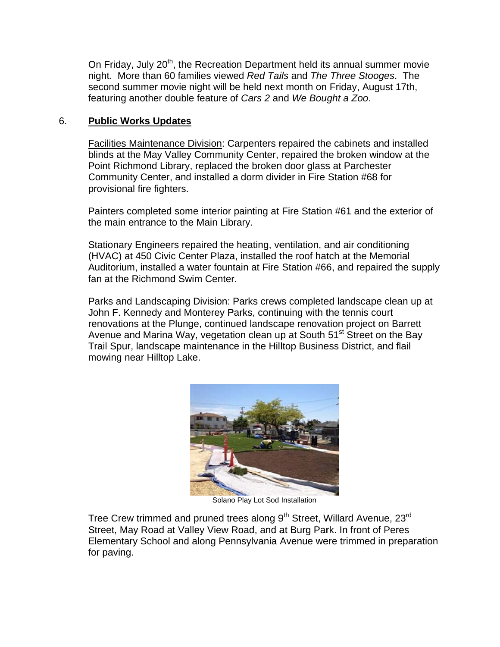On Friday, July 20<sup>th</sup>, the Recreation Department held its annual summer movie night. More than 60 families viewed Red Tails and The Three Stooges. The second summer movie night will be held next month on Friday, August 17th, featuring another double feature of Cars 2 and We Bought a Zoo.

#### 6. **Public Works Updates**

Facilities Maintenance Division: Carpenters repaired the cabinets and installed blinds at the May Valley Community Center, repaired the broken window at the Point Richmond Library, replaced the broken door glass at Parchester Community Center, and installed a dorm divider in Fire Station #68 for provisional fire fighters.

Painters completed some interior painting at Fire Station #61 and the exterior of the main entrance to the Main Library.

Stationary Engineers repaired the heating, ventilation, and air conditioning (HVAC) at 450 Civic Center Plaza, installed the roof hatch at the Memorial Auditorium, installed a water fountain at Fire Station #66, and repaired the supply fan at the Richmond Swim Center

Parks and Landscaping Division: Parks crews completed landscape clean up at John F. Kennedy and Monterey Parks, continuing with the tennis court renovations at the Plunge, continued landscape renovation project on Barrett Avenue and Marina Way, vegetation clean up at South 51<sup>st</sup> Street on the Bay Trail Spur, landscape maintenance in the Hilltop Business District, and flail mowing near Hilltop Lake.



Solano Play Lot Sod Installation

Tree Crew trimmed and pruned trees along 9<sup>th</sup> Street, Willard Avenue, 23<sup>rd</sup> Street, May Road at Valley View Road, and at Burg Park. In front of Peres Elementary School and along Pennsylvania Avenue were trimmed in preparation for paving.